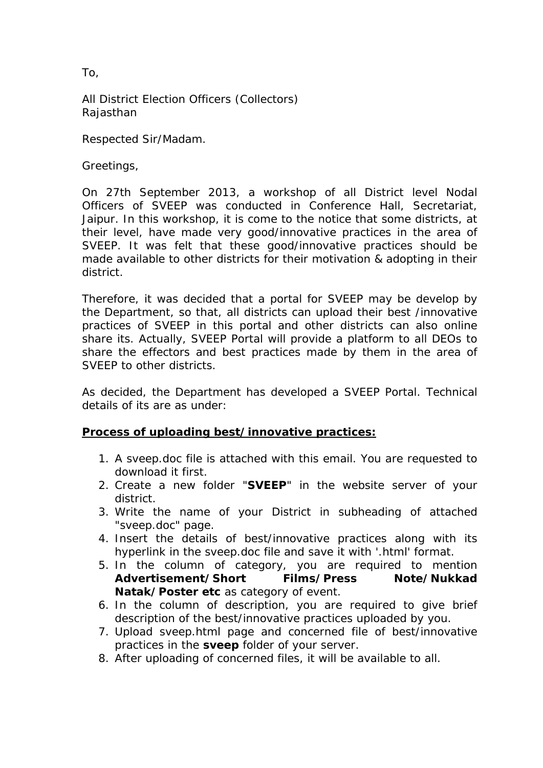To,

All District Election Officers (Collectors) Rajasthan

Respected Sir/Madam.

Greetings,

On 27th September 2013, a workshop of all District level Nodal Officers of SVEEP was conducted in Conference Hall, Secretariat, Jaipur. In this workshop, it is come to the notice that some districts, at their level, have made very good/innovative practices in the area of SVEEP. It was felt that these good/innovative practices should be made available to other districts for their motivation & adopting in their district.

Therefore, it was decided that a portal for SVEEP may be develop by the Department, so that, all districts can upload their best /innovative practices of SVEEP in this portal and other districts can also online share its. Actually, SVEEP Portal will provide a platform to all DEOs to share the effectors and best practices made by them in the area of SVEEP to other districts.

As decided, the Department has developed a SVEEP Portal. Technical details of its are as under:

## **Process of uploading best/innovative practices:**

- 1. A sveep.doc file is attached with this email. You are requested to download it first.
- 2. Create a new folder "**SVEEP**" in the website server of your district.
- 3. Write the name of your District in subheading of attached "sveep.doc" page.
- 4. Insert the details of best/innovative practices along with its hyperlink in the sveep.doc file and save it with '.html' format.
- 5. In the column of category, you are required to mention **Advertisement/Short Films/Press Note/Nukkad Natak/Poster etc** as category of event.
- 6. In the column of description, you are required to give brief description of the best/innovative practices uploaded by you.
- 7. Upload sveep.html page and concerned file of best/innovative practices in the **sveep** folder of your server.
- 8. After uploading of concerned files, it will be available to all.